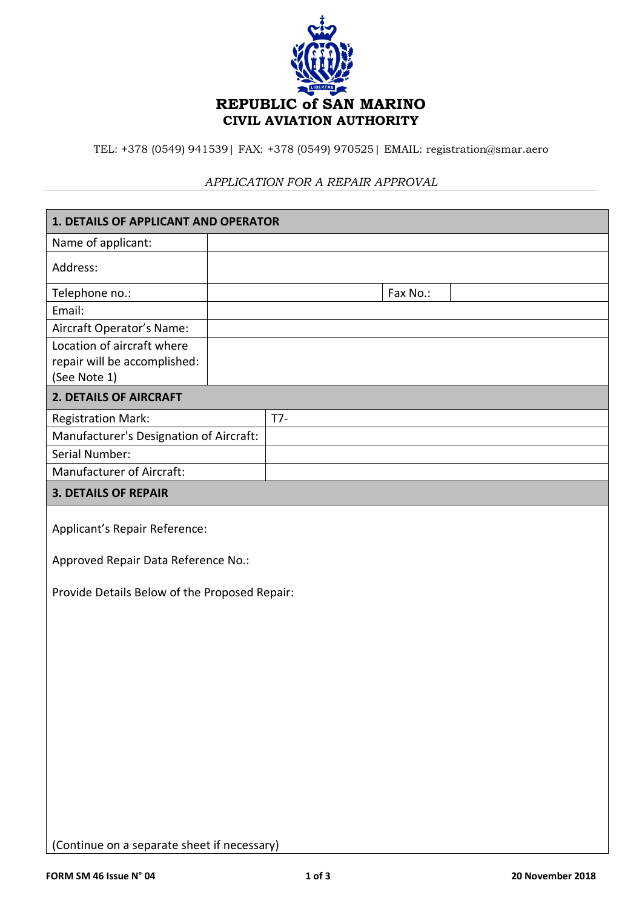

TEL: +378 (0549) 941539| FAX: +378 (0549) 970525| EMAIL: registration@smar.aero

### *APPLICATION FOR A REPAIR APPROVAL*

| 1. DETAILS OF APPLICANT AND OPERATOR          |  |       |          |  |  |
|-----------------------------------------------|--|-------|----------|--|--|
| Name of applicant:                            |  |       |          |  |  |
| Address:                                      |  |       |          |  |  |
| Telephone no.:                                |  |       | Fax No.: |  |  |
| Email:                                        |  |       |          |  |  |
| Aircraft Operator's Name:                     |  |       |          |  |  |
| Location of aircraft where                    |  |       |          |  |  |
| repair will be accomplished:                  |  |       |          |  |  |
| (See Note 1)                                  |  |       |          |  |  |
| 2. DETAILS OF AIRCRAFT                        |  |       |          |  |  |
| <b>Registration Mark:</b>                     |  | $T7-$ |          |  |  |
| Manufacturer's Designation of Aircraft:       |  |       |          |  |  |
| Serial Number:                                |  |       |          |  |  |
| Manufacturer of Aircraft:                     |  |       |          |  |  |
| <b>3. DETAILS OF REPAIR</b>                   |  |       |          |  |  |
| Applicant's Repair Reference:                 |  |       |          |  |  |
| Approved Repair Data Reference No.:           |  |       |          |  |  |
| Provide Details Below of the Proposed Repair: |  |       |          |  |  |
|                                               |  |       |          |  |  |
|                                               |  |       |          |  |  |
|                                               |  |       |          |  |  |
|                                               |  |       |          |  |  |
|                                               |  |       |          |  |  |
|                                               |  |       |          |  |  |
|                                               |  |       |          |  |  |
|                                               |  |       |          |  |  |
|                                               |  |       |          |  |  |
|                                               |  |       |          |  |  |
|                                               |  |       |          |  |  |
|                                               |  |       |          |  |  |

(Continue on a separate sheet if necessary)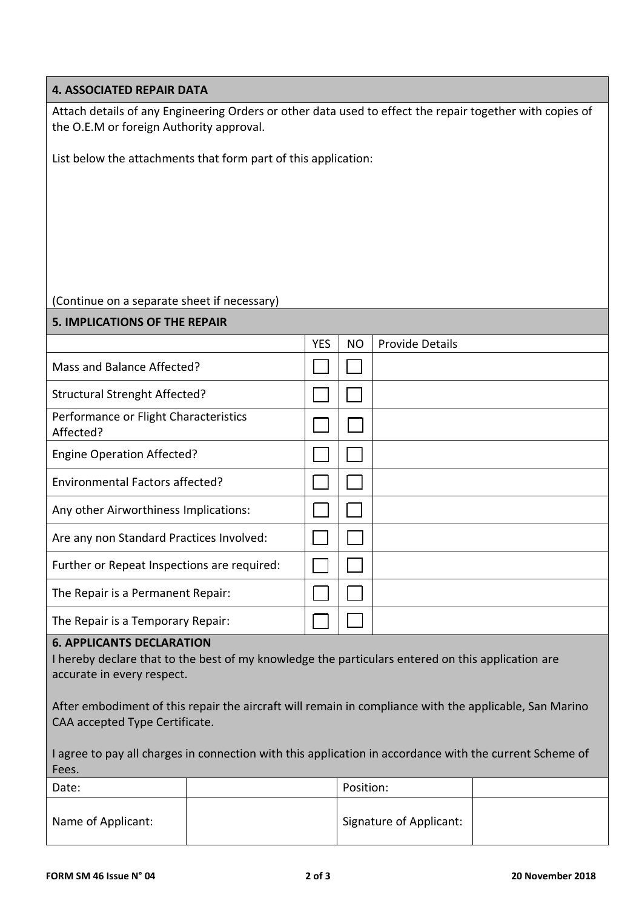### **4. ASSOCIATED REPAIR DATA**

Attach details of any Engineering Orders or other data used to effect the repair together with copies of the O.E.M or foreign Authority approval.

List below the attachments that form part of this application:

## (Continue on a separate sheet if necessary)

| <b>5. IMPLICATIONS OF THE REPAIR</b> |           |                        |  |  |
|--------------------------------------|-----------|------------------------|--|--|
| <b>YES</b>                           | <b>NO</b> | <b>Provide Details</b> |  |  |
|                                      |           |                        |  |  |
|                                      |           |                        |  |  |
|                                      |           |                        |  |  |
|                                      |           |                        |  |  |
|                                      |           |                        |  |  |
|                                      |           |                        |  |  |
|                                      |           |                        |  |  |
|                                      |           |                        |  |  |
|                                      |           |                        |  |  |
|                                      |           |                        |  |  |
|                                      |           |                        |  |  |

#### **6. APPLICANTS DECLARATION**

I hereby declare that to the best of my knowledge the particulars entered on this application are accurate in every respect.

After embodiment of this repair the aircraft will remain in compliance with the applicable, San Marino CAA accepted Type Certificate.

I agree to pay all charges in connection with this application in accordance with the current Scheme of Fees.

| Date:              | Position:               |  |
|--------------------|-------------------------|--|
| Name of Applicant: | Signature of Applicant: |  |